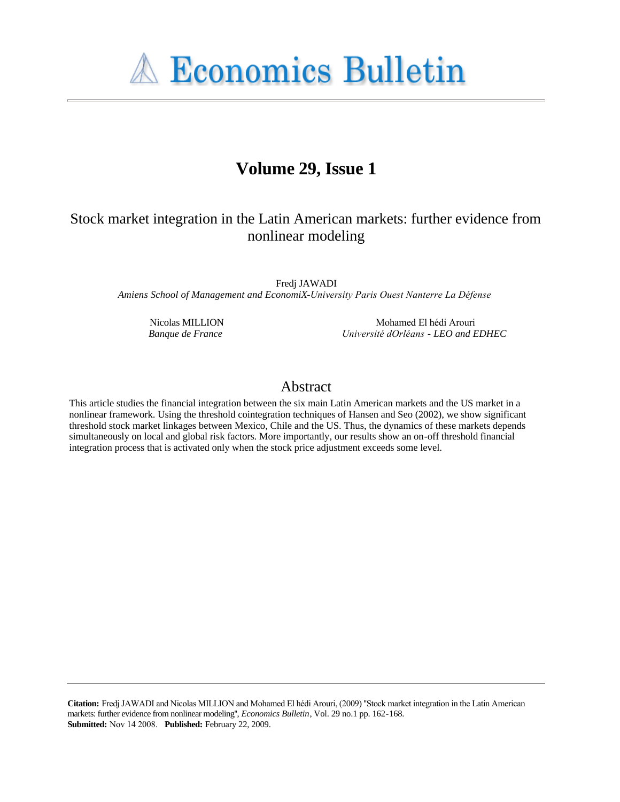**A Economics Bulletin** 

# **Volume 29, Issue 1**

# Stock market integration in the Latin American markets: further evidence from nonlinear modeling

Fredj JAWADI *Amiens School of Management and EconomiX-University Paris Ouest Nanterre La Défense*

Nicolas MILLION *Banque de France*

Mohamed El hédi Arouri *Université dOrléans - LEO and EDHEC*

# Abstract

This article studies the financial integration between the six main Latin American markets and the US market in a nonlinear framework. Using the threshold cointegration techniques of Hansen and Seo (2002), we show significant threshold stock market linkages between Mexico, Chile and the US. Thus, the dynamics of these markets depends simultaneously on local and global risk factors. More importantly, our results show an on-off threshold financial integration process that is activated only when the stock price adjustment exceeds some level.

**Citation:** Fredj JAWADI and Nicolas MILLION and Mohamed El hédi Arouri, (2009) ''Stock market integration in the Latin American markets: further evidence from nonlinear modeling'', *Economics Bulletin*, Vol. 29 no.1 pp. 162-168. **Submitted:** Nov 14 2008. **Published:** February 22, 2009.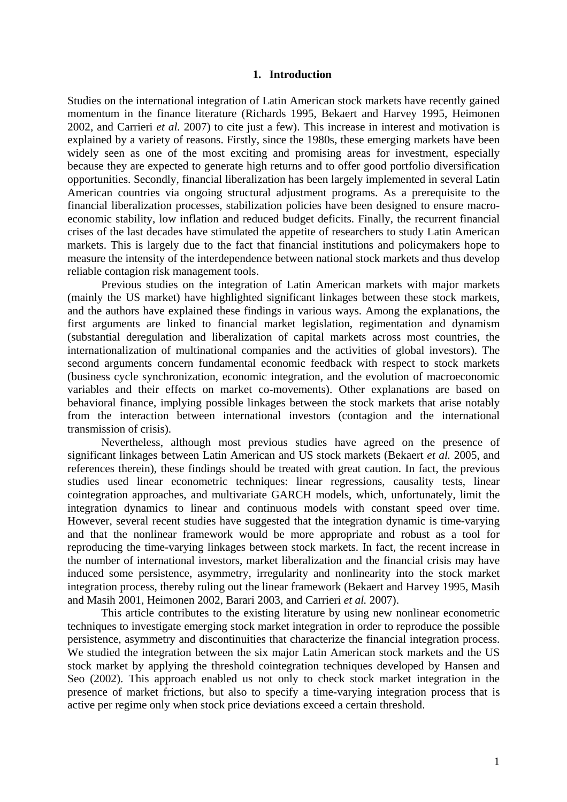# **1. Introduction**

Studies on the international integration of Latin American stock markets have recently gained momentum in the finance literature (Richards 1995, Bekaert and Harvey 1995, Heimonen 2002, and Carrieri *et al.* 2007) to cite just a few). This increase in interest and motivation is explained by a variety of reasons. Firstly, since the 1980s, these emerging markets have been widely seen as one of the most exciting and promising areas for investment, especially because they are expected to generate high returns and to offer good portfolio diversification opportunities. Secondly, financial liberalization has been largely implemented in several Latin American countries via ongoing structural adjustment programs. As a prerequisite to the financial liberalization processes, stabilization policies have been designed to ensure macroeconomic stability, low inflation and reduced budget deficits. Finally, the recurrent financial crises of the last decades have stimulated the appetite of researchers to study Latin American markets. This is largely due to the fact that financial institutions and policymakers hope to measure the intensity of the interdependence between national stock markets and thus develop reliable contagion risk management tools.

Previous studies on the integration of Latin American markets with major markets (mainly the US market) have highlighted significant linkages between these stock markets, and the authors have explained these findings in various ways. Among the explanations, the first arguments are linked to financial market legislation, regimentation and dynamism (substantial deregulation and liberalization of capital markets across most countries, the internationalization of multinational companies and the activities of global investors). The second arguments concern fundamental economic feedback with respect to stock markets (business cycle synchronization, economic integration, and the evolution of macroeconomic variables and their effects on market co-movements). Other explanations are based on behavioral finance, implying possible linkages between the stock markets that arise notably from the interaction between international investors (contagion and the international transmission of crisis).

Nevertheless, although most previous studies have agreed on the presence of significant linkages between Latin American and US stock markets (Bekaert *et al.* 2005, and references therein), these findings should be treated with great caution. In fact, the previous studies used linear econometric techniques: linear regressions, causality tests, linear cointegration approaches, and multivariate GARCH models, which, unfortunately, limit the integration dynamics to linear and continuous models with constant speed over time. However, several recent studies have suggested that the integration dynamic is time-varying and that the nonlinear framework would be more appropriate and robust as a tool for reproducing the time-varying linkages between stock markets. In fact, the recent increase in the number of international investors, market liberalization and the financial crisis may have induced some persistence, asymmetry, irregularity and nonlinearity into the stock market integration process, thereby ruling out the linear framework (Bekaert and Harvey 1995, Masih and Masih 2001, Heimonen 2002, Barari 2003, and Carrieri *et al.* 2007).

This article contributes to the existing literature by using new nonlinear econometric techniques to investigate emerging stock market integration in order to reproduce the possible persistence, asymmetry and discontinuities that characterize the financial integration process. We studied the integration between the six major Latin American stock markets and the US stock market by applying the threshold cointegration techniques developed by Hansen and Seo (2002). This approach enabled us not only to check stock market integration in the presence of market frictions, but also to specify a time-varying integration process that is active per regime only when stock price deviations exceed a certain threshold.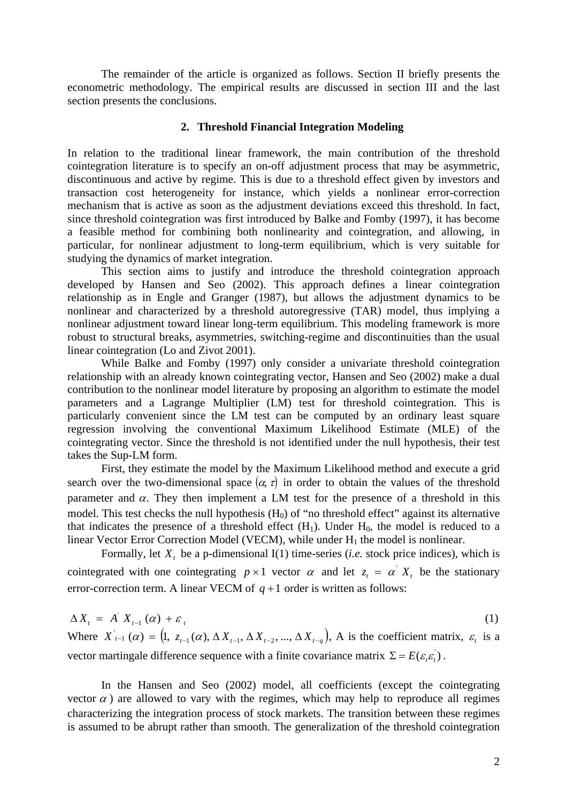The remainder of the article is organized as follows. Section II briefly presents the econometric methodology. The empirical results are discussed in section III and the last section presents the conclusions.

# **2. Threshold Financial Integration Modeling**

In relation to the traditional linear framework, the main contribution of the threshold cointegration literature is to specify an on-off adjustment process that may be asymmetric, discontinuous and active by regime. This is due to a threshold effect given by investors and transaction cost heterogeneity for instance, which yields a nonlinear error-correction mechanism that is active as soon as the adjustment deviations exceed this threshold. In fact, since threshold cointegration was first introduced by Balke and Fomby (1997), it has become a feasible method for combining both nonlinearity and cointegration, and allowing, in particular, for nonlinear adjustment to long-term equilibrium, which is very suitable for studying the dynamics of market integration.

This section aims to justify and introduce the threshold cointegration approach developed by Hansen and Seo (2002). This approach defines a linear cointegration relationship as in Engle and Granger (1987), but allows the adjustment dynamics to be nonlinear and characterized by a threshold autoregressive (TAR) model, thus implying a nonlinear adjustment toward linear long-term equilibrium. This modeling framework is more robust to structural breaks, asymmetries, switching-regime and discontinuities than the usual linear cointegration (Lo and Zivot 2001).

While Balke and Fomby (1997) only consider a univariate threshold cointegration relationship with an already known cointegrating vector, Hansen and Seo (2002) make a dual contribution to the nonlinear model literature by proposing an algorithm to estimate the model parameters and a Lagrange Multiplier (LM) test for threshold cointegration. This is particularly convenient since the LM test can be computed by an ordinary least square regression involving the conventional Maximum Likelihood Estimate (MLE) of the cointegrating vector. Since the threshold is not identified under the null hypothesis, their test takes the Sup-LM form.

First, they estimate the model by the Maximum Likelihood method and execute a grid search over the two-dimensional space  $(\alpha, \tau)$  in order to obtain the values of the threshold parameter and  $\alpha$ . They then implement a LM test for the presence of a threshold in this model. This test checks the null hypothesis  $(H_0)$  of "no threshold effect" against its alternative that indicates the presence of a threshold effect  $(H_1)$ . Under  $H_0$ , the model is reduced to a linear Vector Error Correction Model (VECM), while under  $H_1$  the model is nonlinear.

Formally, let  $X_t$  be a p-dimensional I(1) time-series (*i.e.* stock price indices), which is cointegrated with one cointegrating  $p \times 1$  vector  $\alpha$  and let  $z_i = \alpha' X_i$  be the stationary error-correction term. A linear VECM of  $q+1$  order is written as follows:

$$
\Delta X_t = A' X_{t-1}(\alpha) + \varepsilon_t
$$
\n(1)  
\nWhere  $X'_{t-1}(\alpha) = (1, z_{t-1}(\alpha), \Delta X_{t-1}, \Delta X_{t-2}, ..., \Delta X_{t-q})$ , A is the coefficient matrix,  $\varepsilon_t$  is a vector martingale difference sequence with a finite covariance matrix  $\Sigma = E(\varepsilon, \varepsilon_t)$ .

In the Hansen and Seo (2002) model, all coefficients (except the cointegrating vector  $\alpha$ ) are allowed to vary with the regimes, which may help to reproduce all regimes characterizing the integration process of stock markets. The transition between these regimes is assumed to be abrupt rather than smooth. The generalization of the threshold cointegration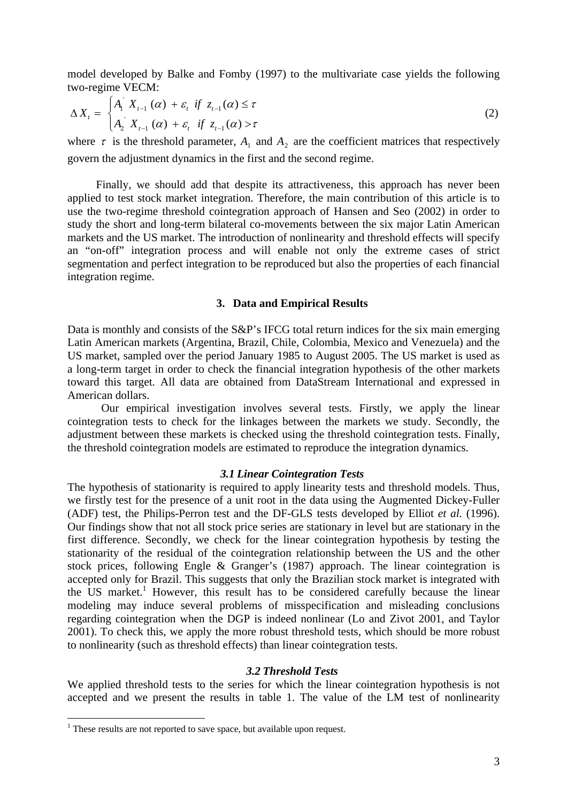model developed by Balke and Fomby (1997) to the multivariate case yields the following two-regime VECM:

$$
\Delta X_t = \begin{cases} A_1 \ X_{t-1} \ (\alpha) + \varepsilon_t \ \text{if} \ z_{t-1} \ (\alpha) \le \tau \\ A_2 \ X_{t-1} \ (\alpha) + \varepsilon_t \ \text{if} \ z_{t-1} \ (\alpha) > \tau \end{cases} \tag{2}
$$

where  $\tau$  is the threshold parameter,  $A_1$  and  $A_2$  are the coefficient matrices that respectively govern the adjustment dynamics in the first and the second regime.

 Finally, we should add that despite its attractiveness, this approach has never been applied to test stock market integration. Therefore, the main contribution of this article is to use the two-regime threshold cointegration approach of Hansen and Seo (2002) in order to study the short and long-term bilateral co-movements between the six major Latin American markets and the US market. The introduction of nonlinearity and threshold effects will specify an "on-off" integration process and will enable not only the extreme cases of strict segmentation and perfect integration to be reproduced but also the properties of each financial integration regime.

### **3. Data and Empirical Results**

Data is monthly and consists of the S&P's IFCG total return indices for the six main emerging Latin American markets (Argentina, Brazil, Chile, Colombia, Mexico and Venezuela) and the US market, sampled over the period January 1985 to August 2005. The US market is used as a long-term target in order to check the financial integration hypothesis of the other markets toward this target. All data are obtained from DataStream International and expressed in American dollars.

Our empirical investigation involves several tests. Firstly, we apply the linear cointegration tests to check for the linkages between the markets we study. Secondly, the adjustment between these markets is checked using the threshold cointegration tests. Finally, the threshold cointegration models are estimated to reproduce the integration dynamics.

# *3.1 Linear Cointegration Tests*

The hypothesis of stationarity is required to apply linearity tests and threshold models. Thus, we firstly test for the presence of a unit root in the data using the Augmented Dickey-Fuller (ADF) test, the Philips-Perron test and the DF-GLS tests developed by Elliot *et al.* (1996). Our findings show that not all stock price series are stationary in level but are stationary in the first difference. Secondly, we check for the linear cointegration hypothesis by testing the stationarity of the residual of the cointegration relationship between the US and the other stock prices, following Engle & Granger's (1987) approach. The linear cointegration is accepted only for Brazil. This suggests that only the Brazilian stock market is integrated with the US market.<sup>1</sup> However, this result has to be considered carefully because the linear modeling may induce several problems of misspecification and misleading conclusions regarding cointegration when the DGP is indeed nonlinear (Lo and Zivot 2001, and Taylor 2001). To check this, we apply the more robust threshold tests, which should be more robust to nonlinearity (such as threshold effects) than linear cointegration tests.

#### *3.2 Threshold Tests*

We applied threshold tests to the series for which the linear cointegration hypothesis is not accepted and we present the results in table 1. The value of the LM test of nonlinearity

1

 $<sup>1</sup>$  These results are not reported to save space, but available upon request.</sup>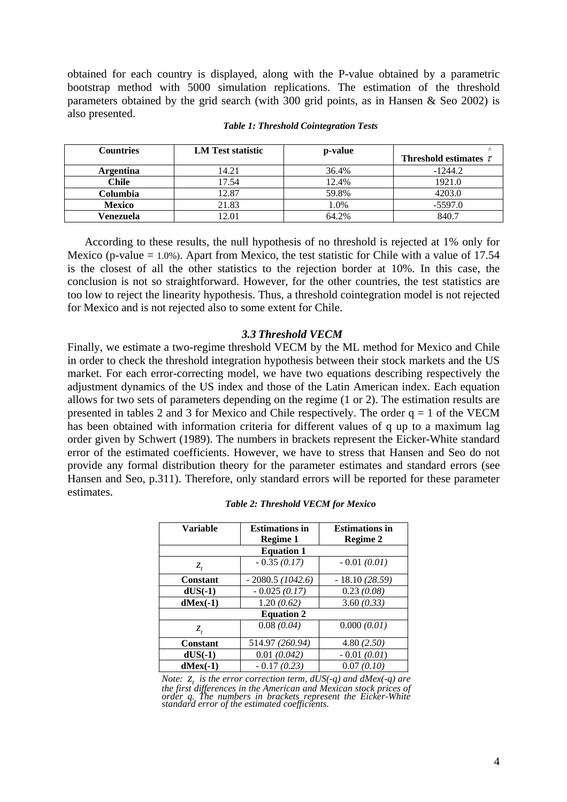obtained for each country is displayed, along with the P-value obtained by a parametric bootstrap method with 5000 simulation replications. The estimation of the threshold parameters obtained by the grid search (with 300 grid points, as in Hansen & Seo 2002) is also presented.

| <b>Countries</b> | <b>LM</b> Test statistic | p-value |                            |
|------------------|--------------------------|---------|----------------------------|
|                  |                          |         | Threshold estimates $\tau$ |
| Argentina        | 14.21                    | 36.4%   | $-1244.2$                  |
| Chile            | 17.54                    | 12.4%   | 1921.0                     |
| Columbia         | 12.87                    | 59.8%   | 4203.0                     |
| <b>Mexico</b>    | 21.83                    | 1.0%    | $-5597.0$                  |
| Venezuela        | 12.01                    | 64.2%   | 840.7                      |

#### *Table 1: Threshold Cointegration Tests*

According to these results, the null hypothesis of no threshold is rejected at 1% only for Mexico (p-value  $= 1.0\%$ ). Apart from Mexico, the test statistic for Chile with a value of 17.54 is the closest of all the other statistics to the rejection border at 10%. In this case, the conclusion is not so straightforward. However, for the other countries, the test statistics are too low to reject the linearity hypothesis. Thus, a threshold cointegration model is not rejected for Mexico and is not rejected also to some extent for Chile.

# *3.3 Threshold VECM*

Finally, we estimate a two-regime threshold VECM by the ML method for Mexico and Chile in order to check the threshold integration hypothesis between their stock markets and the US market. For each error-correcting model, we have two equations describing respectively the adjustment dynamics of the US index and those of the Latin American index. Each equation allows for two sets of parameters depending on the regime (1 or 2). The estimation results are presented in tables 2 and 3 for Mexico and Chile respectively. The order  $q = 1$  of the VECM has been obtained with information criteria for different values of q up to a maximum lag order given by Schwert (1989). The numbers in brackets represent the Eicker-White standard error of the estimated coefficients. However, we have to stress that Hansen and Seo do not provide any formal distribution theory for the parameter estimates and standard errors (see Hansen and Seo, p.311). Therefore, only standard errors will be reported for these parameter estimates.

| <b>Variable</b>   | <b>Estimations in</b> | <b>Estimations in</b> |  |  |
|-------------------|-----------------------|-----------------------|--|--|
|                   | Regime 1              | Regime 2              |  |  |
| <b>Equation 1</b> |                       |                       |  |  |
| $Z_{t}$           | $-0.35(0.17)$         | $-0.01(0.01)$         |  |  |
| Constant          | $-2080.5(1042.6)$     | $-18.10(28.59)$       |  |  |
| $dUS(-1)$         | $-0.025(0.17)$        | 0.23(0.08)            |  |  |
| $d$ Mex $(-1)$    | 1.20(0.62)            | 3.60(0.33)            |  |  |
| <b>Equation 2</b> |                       |                       |  |  |
| $Z_{t}$           | 0.08(0.04)            | 0.000(0.01)           |  |  |
| <b>Constant</b>   | 514.97 (260.94)       | 4.80(2.50)            |  |  |
| $dUS(-1)$         | 0.01(0.042)           | $-0.01(0.01)$         |  |  |
| $d$ Mex $(-1)$    | $-0.17(0.23)$         | 0.07(0.10)            |  |  |

*Note:*  $z_t$  *is the error correction term, dUS(-q) and dMex(-q) are the first differences in the American and Mexican stock prices of order q. The numbers in brackets represent the Eicker-White standard error of the estimated coefficients.*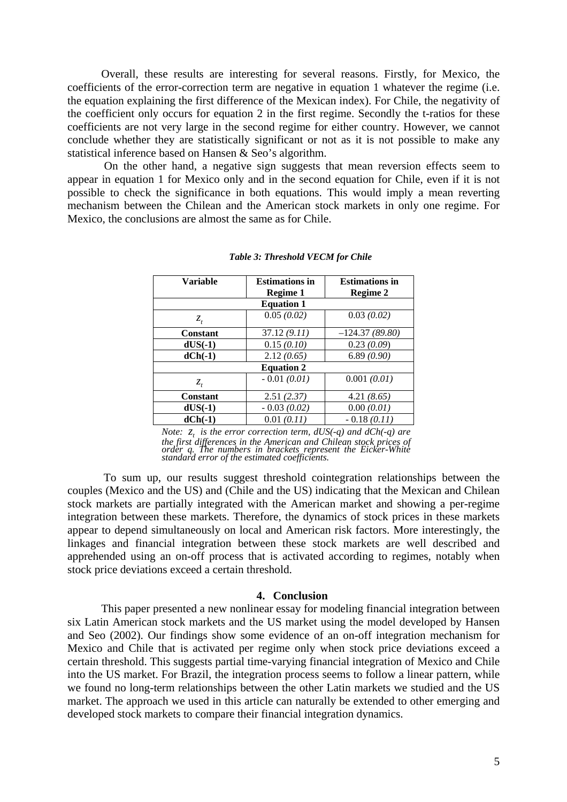Overall, these results are interesting for several reasons. Firstly, for Mexico, the coefficients of the error-correction term are negative in equation 1 whatever the regime (i.e. the equation explaining the first difference of the Mexican index). For Chile, the negativity of the coefficient only occurs for equation 2 in the first regime. Secondly the t-ratios for these coefficients are not very large in the second regime for either country. However, we cannot conclude whether they are statistically significant or not as it is not possible to make any statistical inference based on Hansen & Seo's algorithm.

 On the other hand, a negative sign suggests that mean reversion effects seem to appear in equation 1 for Mexico only and in the second equation for Chile, even if it is not possible to check the significance in both equations. This would imply a mean reverting mechanism between the Chilean and the American stock markets in only one regime. For Mexico, the conclusions are almost the same as for Chile.

| <b>Variable</b>   | <b>Estimations in</b> | <b>Estimations in</b> |  |  |
|-------------------|-----------------------|-----------------------|--|--|
|                   | Regime 1              | Regime 2              |  |  |
| <b>Equation 1</b> |                       |                       |  |  |
| $Z_t$             | 0.05(0.02)            | 0.03(0.02)            |  |  |
| <b>Constant</b>   | 37.12(9.11)           | $-124.37(89.80)$      |  |  |
| $dUS(-1)$         | 0.15(0.10)            | 0.23(0.09)            |  |  |
| $dCh(-1)$         | 2.12(0.65)            | 6.89(0.90)            |  |  |
| <b>Equation 2</b> |                       |                       |  |  |
| $Z_t$             | $-0.01(0.01)$         | 0.001(0.01)           |  |  |
| <b>Constant</b>   | 2.51(2.37)            | 4.21(8.65)            |  |  |
| $dUS(-1)$         | $-0.03(0.02)$         | 0.00(0.01)            |  |  |
| $dCh(-1)$         | 0.01(0.11)            | $-0.18(0.11)$         |  |  |

#### *Table 3: Threshold VECM for Chile*

*Note:*  $z_t$  *is the error correction term, dUS(-q) and dCh(-q) are the first differences in the American and Chilean stock prices of order q. The numbers in brackets represent the Eicker-White standard error of the estimated coefficients.* 

To sum up, our results suggest threshold cointegration relationships between the couples (Mexico and the US) and (Chile and the US) indicating that the Mexican and Chilean stock markets are partially integrated with the American market and showing a per-regime integration between these markets. Therefore, the dynamics of stock prices in these markets appear to depend simultaneously on local and American risk factors. More interestingly, the linkages and financial integration between these stock markets are well described and apprehended using an on-off process that is activated according to regimes, notably when stock price deviations exceed a certain threshold.

#### **4. Conclusion**

This paper presented a new nonlinear essay for modeling financial integration between six Latin American stock markets and the US market using the model developed by Hansen and Seo (2002). Our findings show some evidence of an on-off integration mechanism for Mexico and Chile that is activated per regime only when stock price deviations exceed a certain threshold. This suggests partial time-varying financial integration of Mexico and Chile into the US market. For Brazil, the integration process seems to follow a linear pattern, while we found no long-term relationships between the other Latin markets we studied and the US market. The approach we used in this article can naturally be extended to other emerging and developed stock markets to compare their financial integration dynamics.